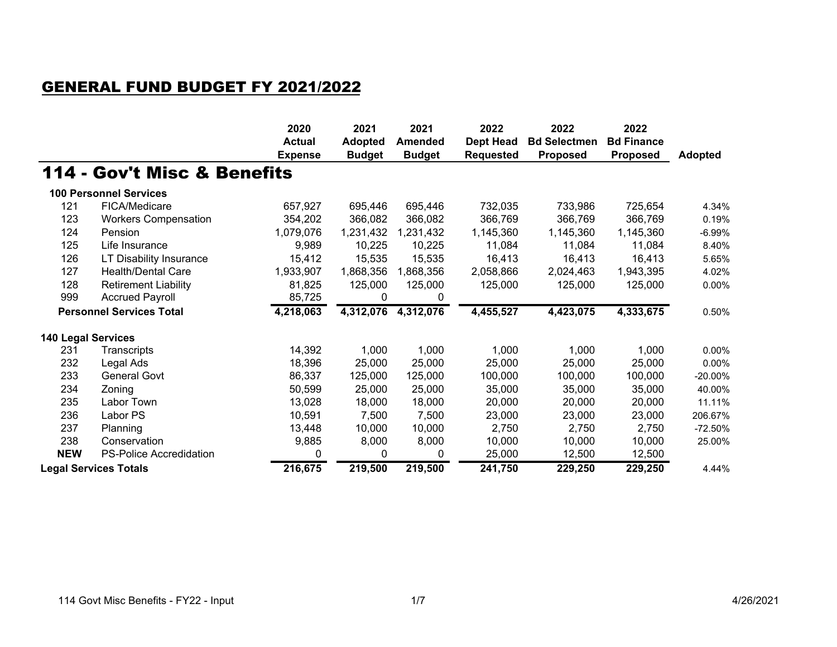## GENERAL FUND BUDGET FY 2021/2022

|                                 |                                | 2020<br><b>Actual</b> | 2021<br><b>Adopted</b> | 2021<br><b>Amended</b> | 2022<br><b>Dept Head</b> | 2022<br><b>Bd Selectmen</b> | 2022<br><b>Bd Finance</b> |                |
|---------------------------------|--------------------------------|-----------------------|------------------------|------------------------|--------------------------|-----------------------------|---------------------------|----------------|
|                                 |                                | <b>Expense</b>        | <b>Budget</b>          | <b>Budget</b>          | <b>Requested</b>         | <b>Proposed</b>             | <b>Proposed</b>           | <b>Adopted</b> |
|                                 | 114 - Gov't Misc & Benefits    |                       |                        |                        |                          |                             |                           |                |
|                                 | <b>100 Personnel Services</b>  |                       |                        |                        |                          |                             |                           |                |
| 121                             | FICA/Medicare                  | 657,927               | 695,446                | 695,446                | 732,035                  | 733,986                     | 725,654                   | 4.34%          |
| 123                             | <b>Workers Compensation</b>    | 354,202               | 366,082                | 366,082                | 366,769                  | 366,769                     | 366,769                   | 0.19%          |
| 124                             | Pension                        | 1,079,076             | 1,231,432              | 1,231,432              | 1,145,360                | 1,145,360                   | 1,145,360                 | $-6.99%$       |
| 125                             | Life Insurance                 | 9,989                 | 10,225                 | 10,225                 | 11,084                   | 11,084                      | 11,084                    | 8.40%          |
| 126                             | LT Disability Insurance        | 15,412                | 15,535                 | 15,535                 | 16,413                   | 16,413                      | 16,413                    | 5.65%          |
| 127                             | <b>Health/Dental Care</b>      | 1,933,907             | 1,868,356              | 1,868,356              | 2,058,866                | 2,024,463                   | 1,943,395                 | 4.02%          |
| 128                             | <b>Retirement Liability</b>    | 81,825                | 125,000                | 125,000                | 125,000                  | 125,000                     | 125,000                   | 0.00%          |
| 999                             | <b>Accrued Payroll</b>         | 85,725                | 0                      | 0                      |                          |                             |                           |                |
| <b>Personnel Services Total</b> |                                | 4,218,063             | 4,312,076              | 4,312,076              | 4,455,527                | 4,423,075                   | 4,333,675                 | 0.50%          |
| 140 Legal Services              |                                |                       |                        |                        |                          |                             |                           |                |
| 231                             | Transcripts                    | 14,392                | 1,000                  | 1,000                  | 1,000                    | 1,000                       | 1,000                     | 0.00%          |
| 232                             | Legal Ads                      | 18,396                | 25,000                 | 25,000                 | 25,000                   | 25,000                      | 25,000                    | 0.00%          |
| 233                             | <b>General Govt</b>            | 86,337                | 125,000                | 125,000                | 100,000                  | 100,000                     | 100,000                   | $-20.00%$      |
| 234                             | Zoning                         | 50,599                | 25,000                 | 25,000                 | 35,000                   | 35,000                      | 35,000                    | 40.00%         |
| 235                             | Labor Town                     | 13,028                | 18,000                 | 18,000                 | 20,000                   | 20,000                      | 20,000                    | 11.11%         |
| 236                             | Labor PS                       | 10,591                | 7,500                  | 7,500                  | 23,000                   | 23,000                      | 23,000                    | 206.67%        |
| 237                             | Planning                       | 13,448                | 10,000                 | 10,000                 | 2,750                    | 2,750                       | 2,750                     | $-72.50%$      |
| 238                             | Conservation                   | 9,885                 | 8,000                  | 8,000                  | 10,000                   | 10,000                      | 10,000                    | 25.00%         |
| <b>NEW</b>                      | <b>PS-Police Accredidation</b> | 0                     | 0                      | 0                      | 25,000                   | 12,500                      | 12,500                    |                |
| <b>Legal Services Totals</b>    |                                | 216,675               | 219,500                | 219,500                | 241,750                  | 229,250                     | 229,250                   | 4.44%          |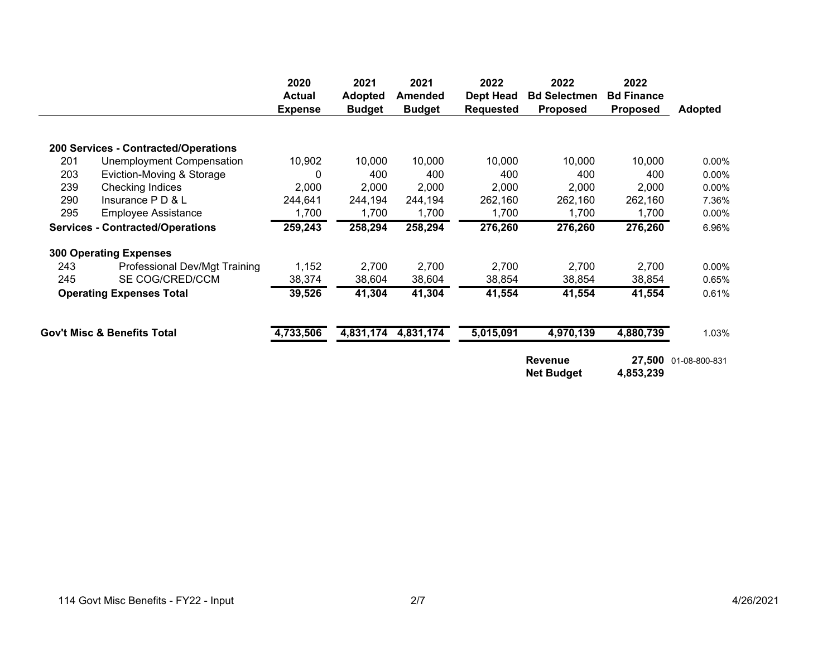|                                         |                                        | 2020<br><b>Actual</b><br><b>Expense</b> | 2021<br><b>Adopted</b><br><b>Budget</b> | 2021<br><b>Amended</b><br><b>Budget</b> | 2022<br><b>Dept Head</b><br><b>Requested</b> | 2022<br><b>Bd Selectmen</b><br><b>Proposed</b> | 2022<br><b>Bd Finance</b><br><b>Proposed</b> | <b>Adopted</b> |
|-----------------------------------------|----------------------------------------|-----------------------------------------|-----------------------------------------|-----------------------------------------|----------------------------------------------|------------------------------------------------|----------------------------------------------|----------------|
|                                         |                                        |                                         |                                         |                                         |                                              |                                                |                                              |                |
|                                         | 200 Services - Contracted/Operations   |                                         |                                         |                                         |                                              |                                                |                                              |                |
| 201                                     | Unemployment Compensation              | 10,902                                  | 10,000                                  | 10,000                                  | 10,000                                       | 10,000                                         | 10,000                                       | 0.00%          |
| 203                                     | Eviction-Moving & Storage              | 0                                       | 400                                     | 400                                     | 400                                          | 400                                            | 400                                          | $0.00\%$       |
| 239                                     | Checking Indices                       | 2,000                                   | 2,000                                   | 2,000                                   | 2,000                                        | 2,000                                          | 2,000                                        | $0.00\%$       |
| 290                                     | Insurance P D & L                      | 244,641                                 | 244,194                                 | 244,194                                 | 262,160                                      | 262,160                                        | 262,160                                      | 7.36%          |
| 295                                     | <b>Employee Assistance</b>             | 1,700                                   | 1,700                                   | 1,700                                   | 1,700                                        | 1,700                                          | 1,700                                        | 0.00%          |
| <b>Services - Contracted/Operations</b> |                                        | 259,243                                 | 258,294                                 | 258,294                                 | 276,260                                      | 276,260                                        | 276,260                                      | 6.96%          |
|                                         | <b>300 Operating Expenses</b>          |                                         |                                         |                                         |                                              |                                                |                                              |                |
| 243                                     | Professional Dev/Mgt Training          | 1,152                                   | 2,700                                   | 2,700                                   | 2,700                                        | 2,700                                          | 2,700                                        | 0.00%          |
| 245                                     | SE COG/CRED/CCM                        | 38,374                                  | 38,604                                  | 38,604                                  | 38,854                                       | 38,854                                         | 38,854                                       | 0.65%          |
| <b>Operating Expenses Total</b>         |                                        | 39,526                                  | 41,304                                  | 41,304                                  | 41,554                                       | 41,554                                         | 41,554                                       | 0.61%          |
|                                         | <b>Gov't Misc &amp; Benefits Total</b> | 4,733,506                               | 4,831,174                               | 4,831,174                               | 5,015,091                                    | 4,970,139                                      | 4,880,739                                    | 1.03%          |
|                                         |                                        |                                         |                                         |                                         |                                              | <b>Revenue</b><br><b>Net Budget</b>            | 27,500<br>4,853,239                          | 01-08-800-831  |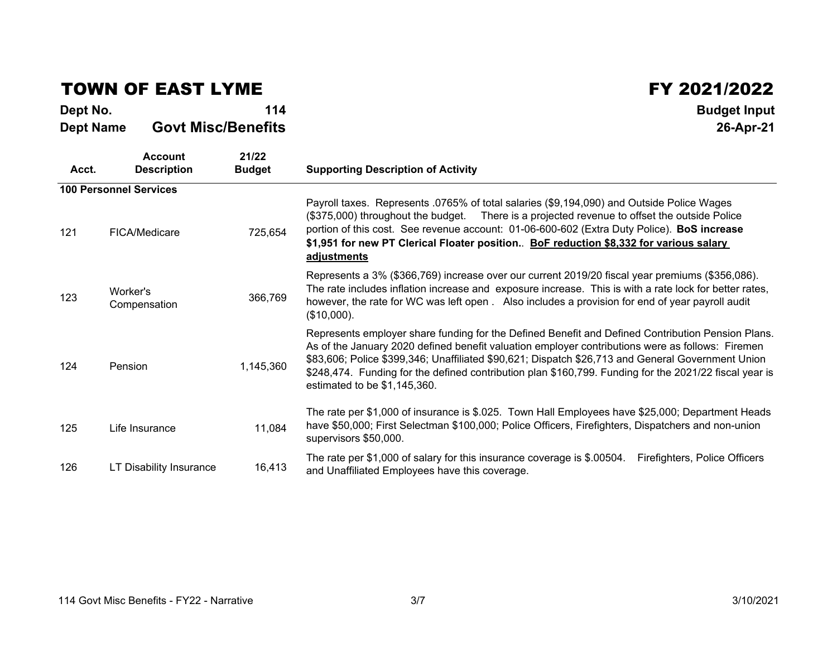## TOWN OF EAST LYME

**Dept No. <sup>114</sup> Budget Input Dept Name Govt Misc/Benefits26-Apr-21** 

| Acct. | Account<br><b>Description</b> | 21/22<br><b>Budget</b> | <b>Supporting Description of Activity</b>                                                                                                                                                                                                                                                                                                                                                                                                            |
|-------|-------------------------------|------------------------|------------------------------------------------------------------------------------------------------------------------------------------------------------------------------------------------------------------------------------------------------------------------------------------------------------------------------------------------------------------------------------------------------------------------------------------------------|
|       | <b>100 Personnel Services</b> |                        |                                                                                                                                                                                                                                                                                                                                                                                                                                                      |
| 121   | FICA/Medicare                 | 725,654                | Payroll taxes. Represents .0765% of total salaries (\$9,194,090) and Outside Police Wages<br>(\$375,000) throughout the budget. There is a projected revenue to offset the outside Police<br>portion of this cost. See revenue account: 01-06-600-602 (Extra Duty Police). BoS increase<br>\$1,951 for new PT Clerical Floater position. BoF reduction \$8,332 for various salary<br>adjustments                                                     |
| 123   | Worker's<br>Compensation      | 366,769                | Represents a 3% (\$366,769) increase over our current 2019/20 fiscal year premiums (\$356,086).<br>The rate includes inflation increase and exposure increase. This is with a rate lock for better rates,<br>however, the rate for WC was left open . Also includes a provision for end of year payroll audit<br>$($10,000)$ .                                                                                                                       |
| 124   | Pension                       | 1,145,360              | Represents employer share funding for the Defined Benefit and Defined Contribution Pension Plans.<br>As of the January 2020 defined benefit valuation employer contributions were as follows: Firemen<br>\$83,606; Police \$399,346; Unaffiliated \$90,621; Dispatch \$26,713 and General Government Union<br>\$248,474. Funding for the defined contribution plan \$160,799. Funding for the 2021/22 fiscal year is<br>estimated to be \$1,145,360. |
| 125   | Life Insurance                | 11,084                 | The rate per \$1,000 of insurance is \$.025. Town Hall Employees have \$25,000; Department Heads<br>have \$50,000; First Selectman \$100,000; Police Officers, Firefighters, Dispatchers and non-union<br>supervisors \$50,000.                                                                                                                                                                                                                      |
| 126   | LT Disability Insurance       | 16,413                 | The rate per \$1,000 of salary for this insurance coverage is \$.00504.<br>Firefighters, Police Officers<br>and Unaffiliated Employees have this coverage.                                                                                                                                                                                                                                                                                           |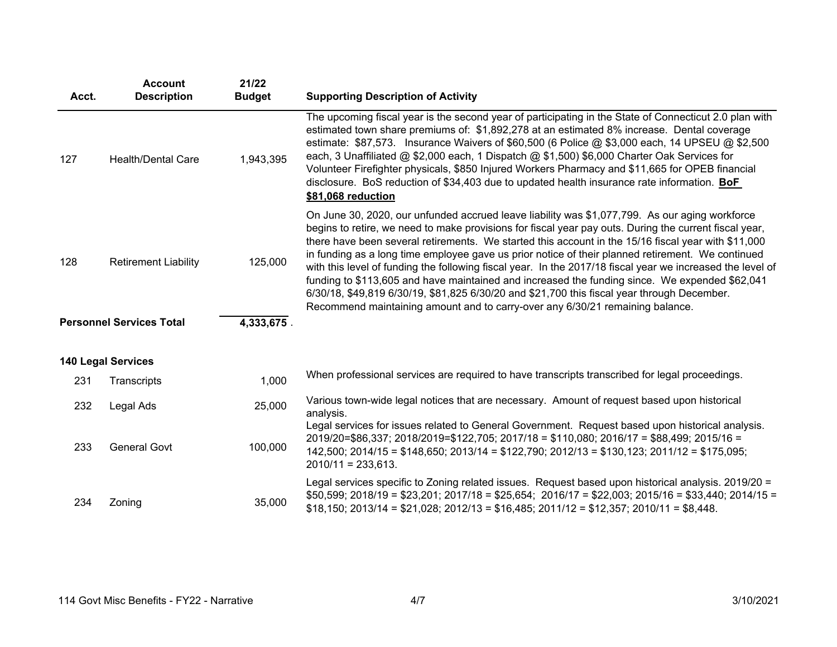| Acct. | <b>Account</b><br><b>Description</b> | 21/22<br><b>Budget</b> | <b>Supporting Description of Activity</b>                                                                                                                                                                                                                                                                                                                                                                                                                                                                                                                                                                                                                                                                                                                                                                            |
|-------|--------------------------------------|------------------------|----------------------------------------------------------------------------------------------------------------------------------------------------------------------------------------------------------------------------------------------------------------------------------------------------------------------------------------------------------------------------------------------------------------------------------------------------------------------------------------------------------------------------------------------------------------------------------------------------------------------------------------------------------------------------------------------------------------------------------------------------------------------------------------------------------------------|
| 127   | <b>Health/Dental Care</b>            | 1,943,395              | The upcoming fiscal year is the second year of participating in the State of Connecticut 2.0 plan with<br>estimated town share premiums of: \$1,892,278 at an estimated 8% increase. Dental coverage<br>estimate: $$87,573$ . Insurance Waivers of $$60,500$ (6 Police @ \$3,000 each, 14 UPSEU @ \$2,500<br>each, 3 Unaffiliated @ \$2,000 each, 1 Dispatch @ \$1,500) \$6,000 Charter Oak Services for<br>Volunteer Firefighter physicals, \$850 Injured Workers Pharmacy and \$11,665 for OPEB financial<br>disclosure. BoS reduction of \$34,403 due to updated health insurance rate information. BoF<br>\$81,068 reduction                                                                                                                                                                                     |
| 128   | <b>Retirement Liability</b>          | 125,000                | On June 30, 2020, our unfunded accrued leave liability was \$1,077,799. As our aging workforce<br>begins to retire, we need to make provisions for fiscal year pay outs. During the current fiscal year,<br>there have been several retirements. We started this account in the 15/16 fiscal year with \$11,000<br>in funding as a long time employee gave us prior notice of their planned retirement. We continued<br>with this level of funding the following fiscal year. In the 2017/18 fiscal year we increased the level of<br>funding to \$113,605 and have maintained and increased the funding since. We expended \$62,041<br>6/30/18, \$49,819 6/30/19, \$81,825 6/30/20 and \$21,700 this fiscal year through December.<br>Recommend maintaining amount and to carry-over any 6/30/21 remaining balance. |
|       | <b>Personnel Services Total</b>      | 4,333,675.             |                                                                                                                                                                                                                                                                                                                                                                                                                                                                                                                                                                                                                                                                                                                                                                                                                      |
|       | <b>140 Legal Services</b>            |                        |                                                                                                                                                                                                                                                                                                                                                                                                                                                                                                                                                                                                                                                                                                                                                                                                                      |
| 231   | Transcripts                          | 1,000                  | When professional services are required to have transcripts transcribed for legal proceedings.                                                                                                                                                                                                                                                                                                                                                                                                                                                                                                                                                                                                                                                                                                                       |
| 232   | Legal Ads                            | 25,000                 | Various town-wide legal notices that are necessary. Amount of request based upon historical<br>analysis.                                                                                                                                                                                                                                                                                                                                                                                                                                                                                                                                                                                                                                                                                                             |
| 233   | <b>General Govt</b>                  | 100,000                | Legal services for issues related to General Government. Request based upon historical analysis.<br>2019/20=\$86,337; 2018/2019=\$122,705; 2017/18 = \$110,080; 2016/17 = \$88,499; 2015/16 =<br>$142,500$ ; $2014/15 = $148,650$ ; $2013/14 = $122,790$ ; $2012/13 = $130,123$ ; $2011/12 = $175,095$ ;<br>$2010/11 = 233,613.$                                                                                                                                                                                                                                                                                                                                                                                                                                                                                     |
| 234   | Zoning                               | 35,000                 | Legal services specific to Zoning related issues. Request based upon historical analysis. 2019/20 =<br>$$50,599; 2018/19 = $23,201; 2017/18 = $25,654; 2016/17 = $22,003; 2015/16 = $33,440; 2014/15 =$<br>$$18,150; 2013/14 = $21,028; 2012/13 = $16,485; 2011/12 = $12,357; 2010/11 = $8,448.$                                                                                                                                                                                                                                                                                                                                                                                                                                                                                                                     |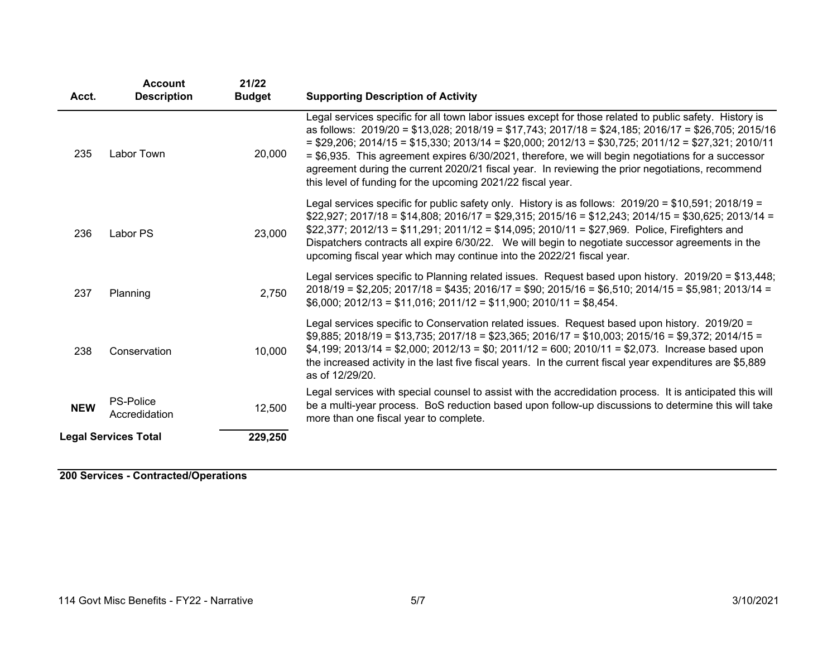| Acct.                                  | <b>Account</b><br><b>Description</b> | 21/22<br><b>Budget</b> | <b>Supporting Description of Activity</b>                                                                                                                                                                                                                                                                                                                                                                                                                                                                                                                                                                  |
|----------------------------------------|--------------------------------------|------------------------|------------------------------------------------------------------------------------------------------------------------------------------------------------------------------------------------------------------------------------------------------------------------------------------------------------------------------------------------------------------------------------------------------------------------------------------------------------------------------------------------------------------------------------------------------------------------------------------------------------|
| 235                                    | Labor Town                           | 20,000                 | Legal services specific for all town labor issues except for those related to public safety. History is<br>as follows: $2019/20 = $13,028$ ; $2018/19 = $17,743$ ; $2017/18 = $24,185$ ; $2016/17 = $26,705$ ; $2015/16$<br>$=$ \$29,206; 2014/15 = \$15,330; 2013/14 = \$20,000; 2012/13 = \$30,725; 2011/12 = \$27,321; 2010/11<br>= \$6,935. This agreement expires 6/30/2021, therefore, we will begin negotiations for a successor<br>agreement during the current 2020/21 fiscal year. In reviewing the prior negotiations, recommend<br>this level of funding for the upcoming 2021/22 fiscal year. |
| 236                                    | Labor PS                             | 23,000                 | Legal services specific for public safety only. History is as follows: 2019/20 = \$10,591; 2018/19 =<br>$$22,927; 2017/18 = $14,808; 2016/17 = $29,315; 2015/16 = $12,243; 2014/15 = $30,625; 2013/14 =$<br>\$22,377; 2012/13 = \$11,291; 2011/12 = \$14,095; 2010/11 = \$27,969. Police, Firefighters and<br>Dispatchers contracts all expire 6/30/22. We will begin to negotiate successor agreements in the<br>upcoming fiscal year which may continue into the 2022/21 fiscal year.                                                                                                                    |
| 237                                    | Planning                             | 2,750                  | Legal services specific to Planning related issues. Request based upon history. 2019/20 = \$13,448;<br>$2018/19 = $2,205$ ; $2017/18 = $435$ ; $2016/17 = $90$ ; $2015/16 = $6,510$ ; $2014/15 = $5,981$ ; $2013/14 =$<br>$$6,000; 2012/13 = $11,016; 2011/12 = $11,900; 2010/11 = $8,454.$                                                                                                                                                                                                                                                                                                                |
| 238                                    | Conservation                         | 10,000                 | Legal services specific to Conservation related issues. Request based upon history. 2019/20 =<br>$$9,885$ ; 2018/19 = \$13,735; 2017/18 = \$23,365; 2016/17 = \$10,003; 2015/16 = \$9,372; 2014/15 =<br>$$4,199; 2013/14 = $2,000; 2012/13 = $0; 2011/12 = 600; 2010/11 = $2,073.$ Increase based upon<br>the increased activity in the last five fiscal years. In the current fiscal year expenditures are \$5,889<br>as of 12/29/20.                                                                                                                                                                     |
| <b>NEW</b>                             | <b>PS-Police</b><br>Accredidation    | 12,500                 | Legal services with special counsel to assist with the accredidation process. It is anticipated this will<br>be a multi-year process. BoS reduction based upon follow-up discussions to determine this will take<br>more than one fiscal year to complete.                                                                                                                                                                                                                                                                                                                                                 |
| <b>Legal Services Total</b><br>229,250 |                                      |                        |                                                                                                                                                                                                                                                                                                                                                                                                                                                                                                                                                                                                            |

**200 Services - Contracted/Operations**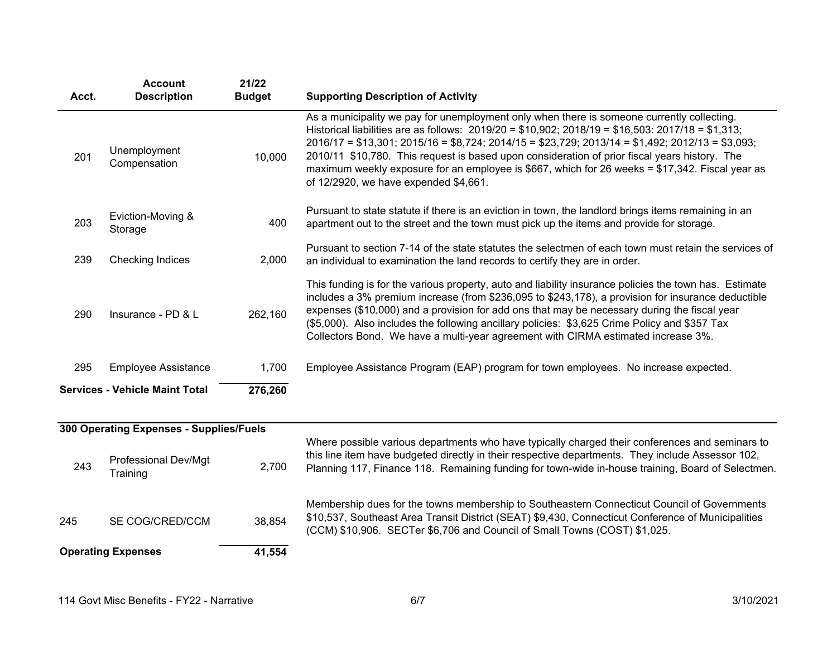| Acct. | <b>Account</b><br><b>Description</b>    | 21/22<br><b>Budget</b> | <b>Supporting Description of Activity</b>                                                                                                                                                                                                                                                                                                                                                                                                                                                                                                           |
|-------|-----------------------------------------|------------------------|-----------------------------------------------------------------------------------------------------------------------------------------------------------------------------------------------------------------------------------------------------------------------------------------------------------------------------------------------------------------------------------------------------------------------------------------------------------------------------------------------------------------------------------------------------|
| 201   | Unemployment<br>Compensation            | 10,000                 | As a municipality we pay for unemployment only when there is someone currently collecting.<br>Historical liabilities are as follows: $2019/20 = $10,902$ ; $2018/19 = $16,503$ : $2017/18 = $1,313$ ;<br>$2016/17 = $13,301; 2015/16 = $8,724; 2014/15 = $23,729; 2013/14 = $1,492; 2012/13 = $3,093;$<br>2010/11 \$10,780. This request is based upon consideration of prior fiscal years history. The<br>maximum weekly exposure for an employee is \$667, which for 26 weeks = \$17,342. Fiscal year as<br>of 12/2920, we have expended \$4,661. |
| 203   | Eviction-Moving &<br>Storage            | 400                    | Pursuant to state statute if there is an eviction in town, the landlord brings items remaining in an<br>apartment out to the street and the town must pick up the items and provide for storage.                                                                                                                                                                                                                                                                                                                                                    |
| 239   | <b>Checking Indices</b>                 | 2,000                  | Pursuant to section 7-14 of the state statutes the selectmen of each town must retain the services of<br>an individual to examination the land records to certify they are in order.                                                                                                                                                                                                                                                                                                                                                                |
| 290   | Insurance - PD & L                      | 262,160                | This funding is for the various property, auto and liability insurance policies the town has. Estimate<br>includes a 3% premium increase (from \$236,095 to \$243,178), a provision for insurance deductible<br>expenses (\$10,000) and a provision for add ons that may be necessary during the fiscal year<br>(\$5,000). Also includes the following ancillary policies: \$3,625 Crime Policy and \$357 Tax<br>Collectors Bond. We have a multi-year agreement with CIRMA estimated increase 3%.                                                  |
| 295   | <b>Employee Assistance</b>              | 1,700                  | Employee Assistance Program (EAP) program for town employees. No increase expected.                                                                                                                                                                                                                                                                                                                                                                                                                                                                 |
|       | <b>Services - Vehicle Maint Total</b>   | 276,260                |                                                                                                                                                                                                                                                                                                                                                                                                                                                                                                                                                     |
|       | 300 Operating Expenses - Supplies/Fuels |                        |                                                                                                                                                                                                                                                                                                                                                                                                                                                                                                                                                     |
| 243   | Professional Dev/Mgt<br>Training        | 2,700                  | Where possible various departments who have typically charged their conferences and seminars to<br>this line item have budgeted directly in their respective departments. They include Assessor 102,<br>Planning 117, Finance 118. Remaining funding for town-wide in-house training, Board of Selectmen.                                                                                                                                                                                                                                           |
| 245   | SE COG/CRED/CCM                         | 38,854                 | Membership dues for the towns membership to Southeastern Connecticut Council of Governments<br>\$10,537, Southeast Area Transit District (SEAT) \$9,430, Connecticut Conference of Municipalities<br>(CCM) \$10,906. SECTer \$6,706 and Council of Small Towns (COST) \$1,025.                                                                                                                                                                                                                                                                      |
|       | <b>Operating Expenses</b>               | 41,554                 |                                                                                                                                                                                                                                                                                                                                                                                                                                                                                                                                                     |